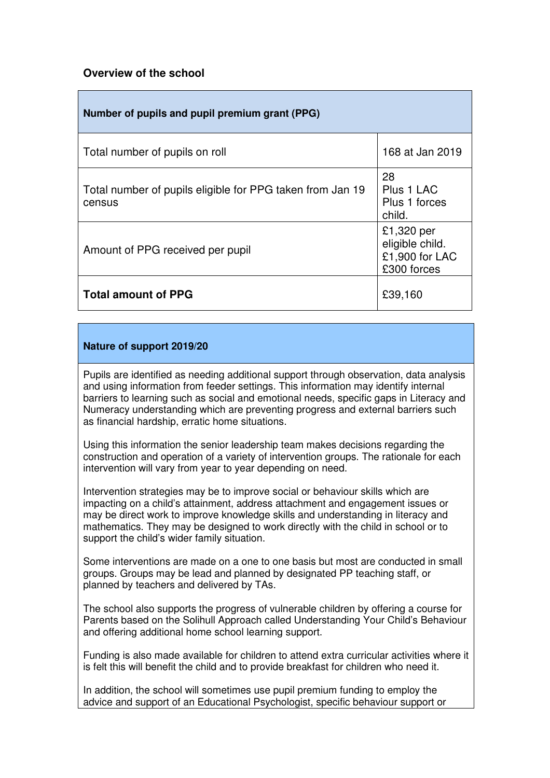## **Overview of the school**

| Number of pupils and pupil premium grant (PPG)                      |                                                                |
|---------------------------------------------------------------------|----------------------------------------------------------------|
| Total number of pupils on roll                                      | 168 at Jan 2019                                                |
| Total number of pupils eligible for PPG taken from Jan 19<br>census | 28<br>Plus 1 LAC<br>Plus 1 forces<br>child.                    |
| Amount of PPG received per pupil                                    | £1,320 per<br>eligible child.<br>£1,900 for LAC<br>£300 forces |
| <b>Total amount of PPG</b>                                          | £39,160                                                        |

## **Nature of support 2019/20**

Pupils are identified as needing additional support through observation, data analysis and using information from feeder settings. This information may identify internal barriers to learning such as social and emotional needs, specific gaps in Literacy and Numeracy understanding which are preventing progress and external barriers such as financial hardship, erratic home situations.

Using this information the senior leadership team makes decisions regarding the construction and operation of a variety of intervention groups. The rationale for each intervention will vary from year to year depending on need.

Intervention strategies may be to improve social or behaviour skills which are impacting on a child's attainment, address attachment and engagement issues or may be direct work to improve knowledge skills and understanding in literacy and mathematics. They may be designed to work directly with the child in school or to support the child's wider family situation.

Some interventions are made on a one to one basis but most are conducted in small groups. Groups may be lead and planned by designated PP teaching staff, or planned by teachers and delivered by TAs.

The school also supports the progress of vulnerable children by offering a course for Parents based on the Solihull Approach called Understanding Your Child's Behaviour and offering additional home school learning support.

Funding is also made available for children to attend extra curricular activities where it is felt this will benefit the child and to provide breakfast for children who need it.

In addition, the school will sometimes use pupil premium funding to employ the advice and support of an Educational Psychologist, specific behaviour support or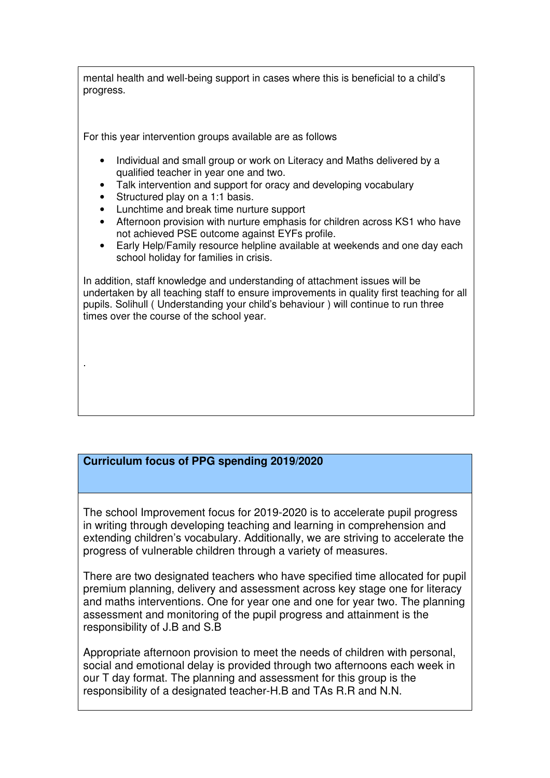mental health and well-being support in cases where this is beneficial to a child's progress.

For this year intervention groups available are as follows

- Individual and small group or work on Literacy and Maths delivered by a qualified teacher in year one and two.
- Talk intervention and support for oracy and developing vocabulary
- Structured play on a 1:1 basis.

.

- Lunchtime and break time nurture support
- Afternoon provision with nurture emphasis for children across KS1 who have not achieved PSE outcome against EYFs profile.
- Early Help/Family resource helpline available at weekends and one day each school holiday for families in crisis.

In addition, staff knowledge and understanding of attachment issues will be undertaken by all teaching staff to ensure improvements in quality first teaching for all pupils. Solihull ( Understanding your child's behaviour ) will continue to run three times over the course of the school year.

## **Curriculum focus of PPG spending 2019/2020**

The school Improvement focus for 2019-2020 is to accelerate pupil progress in writing through developing teaching and learning in comprehension and extending children's vocabulary. Additionally, we are striving to accelerate the progress of vulnerable children through a variety of measures.

There are two designated teachers who have specified time allocated for pupil premium planning, delivery and assessment across key stage one for literacy and maths interventions. One for year one and one for year two. The planning assessment and monitoring of the pupil progress and attainment is the responsibility of J.B and S.B

Appropriate afternoon provision to meet the needs of children with personal, social and emotional delay is provided through two afternoons each week in our T day format. The planning and assessment for this group is the responsibility of a designated teacher-H.B and TAs R.R and N.N.